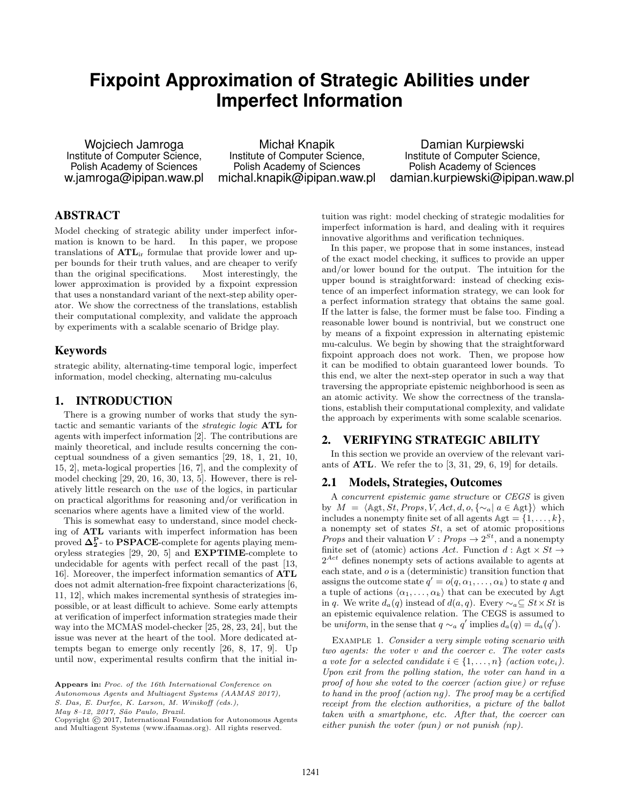# **Fixpoint Approximation of Strategic Abilities under Imperfect Information**

Wojciech Jamroga Institute of Computer Science, Polish Academy of Sciences w.jamroga@ipipan.waw.pl

Michał Knapik Institute of Computer Science, Polish Academy of Sciences michal.knapik@ipipan.waw.pl

Damian Kurpiewski Institute of Computer Science, Polish Academy of Sciences damian.kurpiewski@ipipan.waw.pl

# ABSTRACT

Model checking of strategic ability under imperfect information is known to be hard. In this paper, we propose translations of ATLir formulae that provide lower and upper bounds for their truth values, and are cheaper to verify than the original specifications. Most interestingly, the lower approximation is provided by a fixpoint expression that uses a nonstandard variant of the next-step ability operator. We show the correctness of the translations, establish their computational complexity, and validate the approach by experiments with a scalable scenario of Bridge play.

# Keywords

strategic ability, alternating-time temporal logic, imperfect information, model checking, alternating mu-calculus

# 1. INTRODUCTION

There is a growing number of works that study the syntactic and semantic variants of the strategic logic ATL for agents with imperfect information [2]. The contributions are mainly theoretical, and include results concerning the conceptual soundness of a given semantics [29, 18, 1, 21, 10, 15, 2], meta-logical properties [16, 7], and the complexity of model checking [29, 20, 16, 30, 13, 5]. However, there is relatively little research on the use of the logics, in particular on practical algorithms for reasoning and/or verification in scenarios where agents have a limited view of the world.

This is somewhat easy to understand, since model checking of ATL variants with imperfect information has been proved  $\Delta_2^{\text{P}}$ - to PSPACE-complete for agents playing memoryless strategies [29, 20, 5] and EXPTIME-complete to undecidable for agents with perfect recall of the past [13, 16]. Moreover, the imperfect information semantics of ATL does not admit alternation-free fixpoint characterizations [6, 11, 12], which makes incremental synthesis of strategies impossible, or at least difficult to achieve. Some early attempts at verification of imperfect information strategies made their way into the MCMAS model-checker [25, 28, 23, 24], but the issue was never at the heart of the tool. More dedicated attempts began to emerge only recently [26, 8, 17, 9]. Up until now, experimental results confirm that the initial in-

Autonomous Agents and Multiagent Systems (AAMAS 2017),

S. Das, E. Durfee, K. Larson, M. Winikoff (eds.),

May 8-12, 2017, São Paulo, Brazil.

Copyright © 2017, International Foundation for Autonomous Agents and Multiagent Systems (www.ifaamas.org). All rights reserved.

tuition was right: model checking of strategic modalities for imperfect information is hard, and dealing with it requires innovative algorithms and verification techniques.

In this paper, we propose that in some instances, instead of the exact model checking, it suffices to provide an upper and/or lower bound for the output. The intuition for the upper bound is straightforward: instead of checking existence of an imperfect information strategy, we can look for a perfect information strategy that obtains the same goal. If the latter is false, the former must be false too. Finding a reasonable lower bound is nontrivial, but we construct one by means of a fixpoint expression in alternating epistemic mu-calculus. We begin by showing that the straightforward fixpoint approach does not work. Then, we propose how it can be modified to obtain guaranteed lower bounds. To this end, we alter the next-step operator in such a way that traversing the appropriate epistemic neighborhood is seen as an atomic activity. We show the correctness of the translations, establish their computational complexity, and validate the approach by experiments with some scalable scenarios.

## 2. VERIFYING STRATEGIC ABILITY

In this section we provide an overview of the relevant variants of ATL. We refer the to [3, 31, 29, 6, 19] for details.

## 2.1 Models, Strategies, Outcomes

A concurrent epistemic game structure or CEGS is given by  $M = \langle \text{Agt}, St, Props, V, Act, d, o, \{∼a \mid a \in \text{Agt}\}\rangle$  which includes a nonempty finite set of all agents  $\mathbb{A}$ gt = {1,...,k}, a nonempty set of states St, a set of atomic propositions *Props* and their valuation  $V: Props \rightarrow 2^{St}$ , and a nonempty finite set of (atomic) actions Act. Function  $d : \mathbb{A}$ gt  $\times$  St  $\rightarrow$  $2^{Act}$  defines nonempty sets of actions available to agents at each state, and o is a (deterministic) transition function that assigns the outcome state  $q' = o(q, \alpha_1, \dots, \alpha_k)$  to state q and a tuple of actions  $\langle \alpha_1, \ldots, \alpha_k \rangle$  that can be executed by Agt in q. We write  $d_a(q)$  instead of  $d(a, q)$ . Every  $\sim_a \subseteq St \times St$  is an epistemic equivalence relation. The CEGS is assumed to be uniform, in the sense that  $q \sim_a q'$  implies  $d_a(q) = d_a(q')$ .

EXAMPLE 1. Consider a very simple voting scenario with two agents: the voter v and the coercer c. The voter casts a vote for a selected candidate  $i \in \{1, \ldots, n\}$  (action vote<sub>i</sub>). Upon exit from the polling station, the voter can hand in a proof of how she voted to the coercer (action give) or refuse to hand in the proof (action ng). The proof may be a certified receipt from the election authorities, a picture of the ballot taken with a smartphone, etc. After that, the coercer can either punish the voter (pun) or not punish (np).

Appears in: Proc. of the 16th International Conference on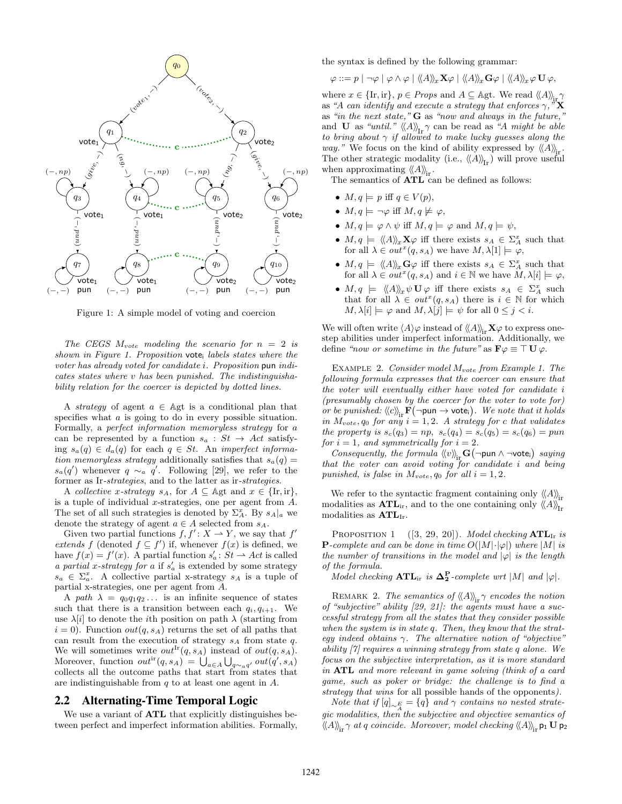

Figure 1: A simple model of voting and coercion

The CEGS  $M_{vote}$  modeling the scenario for  $n = 2$  is shown in Figure 1. Proposition vote<sup>i</sup> labels states where the voter has already voted for candidate i. Proposition pun indicates states where v has been punished. The indistinguishability relation for the coercer is depicted by dotted lines.

A *strategy* of agent  $a \in \mathbb{A}$ gt is a conditional plan that specifies what a is going to do in every possible situation. Formally, a perfect information memoryless strategy for a can be represented by a function  $s_a : St \rightarrow Act$  satisfying  $s_a(q) \in d_a(q)$  for each  $q \in St$ . An *imperfect informa*tion memoryless strategy additionally satisfies that  $s_a(q) =$  $s_a(q')$  whenever  $q \sim_a q'$ . Following [29], we refer to the former as Ir-*strategies*, and to the latter as ir-*strategies*.

A collective x-strategy  $s_A$ , for  $A \subseteq \mathbb{A}$ gt and  $x \in \{\text{Ir}, \text{ir}\},\$ is a tuple of individual x-strategies, one per agent from A. The set of all such strategies is denoted by  $\Sigma_A^x$ . By  $s_A|_a$  we denote the strategy of agent  $a \in A$  selected from  $s_A$ .

Given two partial functions  $f, f' : X \to Y$ , we say that  $f'$ extends f (denoted  $f \subseteq f'$ ) if, whenever  $f(x)$  is defined, we have  $f(x) = f'(x)$ . A partial function  $s'_a : St \to Act$  is called a partial x-strategy for a if  $s'_a$  is extended by some strategy  $s_a \in \Sigma_a^x$ . A collective partial x-strategy  $s_A$  is a tuple of partial x-strategies, one per agent from A.

A path  $\lambda = q_0 q_1 q_2 \dots$  is an infinite sequence of states such that there is a transition between each  $q_i, q_{i+1}$ . We use  $\lambda[i]$  to denote the *i*th position on path  $\lambda$  (starting from  $i = 0$ ). Function  $out(q, s<sub>A</sub>)$  returns the set of all paths that can result from the execution of strategy  $s_A$  from state q. We will sometimes write  $out^{Ir}(q, s_A)$  instead of  $out(q, s_A)$ . Moreover, function  $out^{ir}(q, s_A) = \bigcup_{a \in A} \bigcup_{q \sim_a q'} out(q', s_A)$ collects all the outcome paths that start from states that are indistinguishable from  $q$  to at least one agent in  $A$ .

#### 2.2 Alternating-Time Temporal Logic

We use a variant of **ATL** that explicitly distinguishes between perfect and imperfect information abilities. Formally, the syntax is defined by the following grammar:

$$
\varphi ::= p \mid \neg \varphi \mid \varphi \wedge \varphi \mid \langle\!\langle A \rangle\!\rangle_x \mathbf{X} \varphi \mid \langle\!\langle A \rangle\!\rangle_x \mathbf{G} \varphi \mid \langle\!\langle A \rangle\!\rangle_x \varphi \mathbf{U} \varphi,
$$

where  $x \in \{\text{Ir}, \text{ir}\}, p \in Props$  and  $A \subseteq \text{Agt}$ . We read  $\langle\!\langle A \rangle\!\rangle_{\text{ir}}\gamma$ as "A can identify and execute a strategy that enforces  $\gamma$ ," as "in the next state,"  $G$  as "now and always in the future," and **U** as "until."  $\langle A \rangle_{\text{Ir}} \gamma$  can be read as "A might be able to bring about  $\gamma$  if allowed to make lucky guesses along the way." We focus on the kind of ability expressed by  $\langle A \rangle$ . The other strategic modality (i.e.,  $\langle A \rangle_{\text{Tr}}$ ) will prove useful when approximating  $\langle A \rangle$ <sub>ir</sub>.

The semantics of  $\text{ATL}$  can be defined as follows:

- $M, q \models p$  iff  $q \in V(p)$ ,
- $M, q \models \neg \varphi$  iff  $M, q \not\models \varphi$ ,
- $M, q \models \varphi \land \psi$  iff  $M, q \models \varphi$  and  $M, q \models \psi$ ,
- $M, q \models \langle \langle A \rangle \rangle_x \mathbf{X} \varphi$  iff there exists  $s_A \in \Sigma_A^x$  such that for all  $\lambda \in out^x(q, s_A)$  we have  $M, \lambda[1] \models \varphi$ ,
- $M, q \models \langle \langle A \rangle \rangle_x \mathbf{G} \varphi$  iff there exists  $s_A \in \Sigma_A^x$  such that for all  $\lambda \in out^x(q, s_A)$  and  $i \in \mathbb{N}$  we have  $M, \lambda[i] \models \varphi$ ,
- $M, q \models \langle \langle A \rangle \rangle_x \psi \mathbf{U} \varphi$  iff there exists  $s_A \in \Sigma_A^x$  such that for all  $\lambda \in out^x(q, s_A)$  there is  $i \in \mathbb{N}$  for which  $M, \lambda[i] \models \varphi$  and  $M, \lambda[j] \models \psi$  for all  $0 \leq j < i$ .

We will often write  $\langle A \rangle \varphi$  instead of  $\langle A \rangle$ <sub>ir</sub>  $\mathbf{X} \varphi$  to express onestep abilities under imperfect information. Additionally, we define "now or sometime in the future" as  $\mathbf{F}\varphi \equiv \top \mathbf{U} \varphi$ .

EXAMPLE 2. Consider model  $M_{vote}$  from Example 1. The following formula expresses that the coercer can ensure that the voter will eventually either have voted for candidate i (presumably chosen by the coercer for the voter to vote for) or be punished:  $\langle \langle c \rangle \rangle_{ir} F(\neg \text{pun} \rightarrow \text{vote}_i)$ . We note that it holds in  $M_{vote}, q_0$  for any  $i = 1, 2$ . A strategy for c that validates the property is  $s_c(q_3) = np, s_c(q_4) = s_c(q_5) = s_c(q_6) = pun$ for  $i = 1$ , and symmetrically for  $i = 2$ .

Consequently, the formula  $\langle\langle v \rangle\rangle_{ir} G$  (¬pun ∧ ¬vote<sub>i</sub>) saying that the voter can avoid voting  $\overline{f}$ or candidate i and being punished, is false in  $M_{vote}, q_0$  for all  $i = 1, 2$ .

We refer to the syntactic fragment containing only  $\langle A \rangle_{\text{in}}$ modalities as  $\text{ATL}_{ir}$ , and to the one containing only  $\langle\!\langle A \rangle\!\rangle_{\text{I}r}$ modalities as  $\text{ATL}_{\text{Ir}}$ .

PROPOSITION 1  $([3, 29, 20])$ . Model checking  $\text{ATL}_{\text{Ir}}$  is **P**-complete and can be done in time  $O(|M|\cdot|\varphi|)$  where  $|M|$  is the number of transitions in the model and  $|\varphi|$  is the length of the formula.

Model checking  $\text{ATL}_{\text{ir}}$  is  $\Delta_2^{\text{P}}$ -complete wrt |M| and  $|\varphi|$ .

REMARK 2. The semantics of  $\langle A \rangle_{\text{ir}} \gamma$  encodes the notion of "subjective" ability [29, 21]: the agents must have a successful strategy from all the states that they consider possible when the system is in state q. Then, they know that the strategy indeed obtains  $\gamma$ . The alternative notion of "objective" ability [7] requires a winning strategy from state q alone. We focus on the subjective interpretation, as it is more standard in ATL and more relevant in game solving (think of a card game, such as poker or bridge: the challenge is to find a strategy that wins for all possible hands of the opponents).

Note that if  $[q]_{\sim \frac{E}{A}} = \{q\}$  and  $\gamma$  contains no nested strategic modalities, then the subjective and objective semantics of  $\langle A \rangle\!\rangle_{\mathbf{ir}}$   $\gamma$  at q coincide. Moreover, model checking  $\langle\!\langle A \rangle\!\rangle_{\mathbf{ir}}$  p1 U p<sub>2</sub>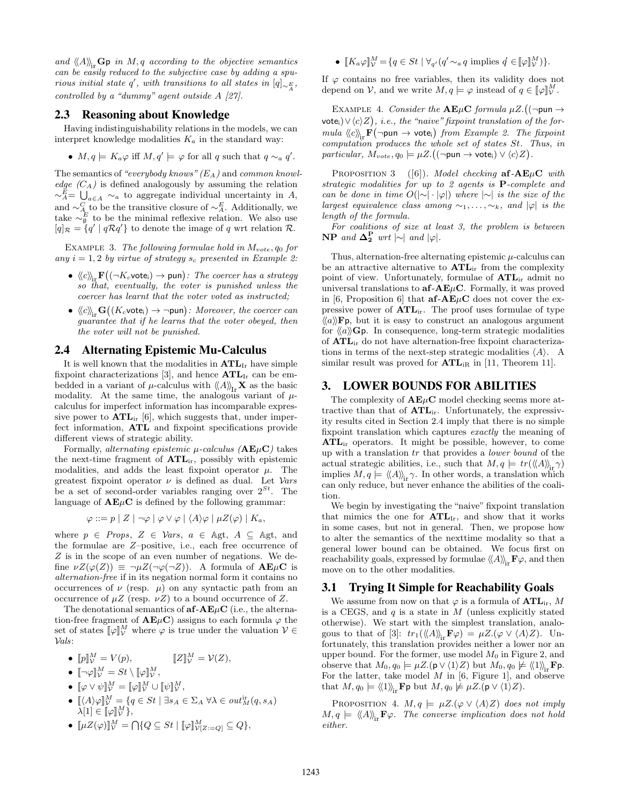and  $\langle A \rangle$ <sub>ix</sub>  $\mathbf{G}$  p in M, q according to the objective semantics can be easily reduced to the subjective case by adding a spurious initial state q', with transitions to all states in  $[q]_{\sim E_A}$ , controlled by a "dummy" agent outside A [27].

#### 2.3 Reasoning about Knowledge

Having indistinguishability relations in the models, we can interpret knowledge modalities  $K_a$  in the standard way:

•  $M, q \models K_a \varphi$  iff  $M, q' \models \varphi$  for all q such that  $q \sim_a q'$ .

The semantics of "everybody knows"  $(E_A)$  and common knowledge  $(C_A)$  is defined analogously by assuming the relation  $\sim_A^E = \bigcup_{a \in A} \sim_a$  to aggregate individual uncertainty in A, and  $\sim_A^C$  to be the transitive closure of  $\sim_A^E$ . Additionally, we take  $\sim_{\emptyset}^E$  to be the minimal reflexive relation. We also use  $[q]_{\mathcal{R}} = \{q' \mid q\mathcal{R}q'\}$  to denote the image of q wrt relation  $\mathcal{R}$ .

EXAMPLE 3. The following formulae hold in  $M_{vote}, q_0$  for any  $i = 1, 2$  by virtue of strategy  $s_c$  presented in Example 2:

- $\bullet \ \left<\!\left< c \right>\!\right>_{\text{ir}} \mathbf{F}\big((\neg K_c \textsf{vote}_i) \rightarrow \textsf{pun} \big)$ : The coercer has a strategy so that, eventually, the voter is punished unless the coercer has learnt that the voter voted as instructed;
- $\langle \hspace{-0.2em} \langle c \rangle \hspace{-0.2em} \rangle_{\text{ir}} \mathbf{G}((K_c \text{vote}_i) \to \neg \text{pun})$ : Moreover, the coercer can guarantee that if he learns that the voter obeyed, then the voter will not be punished.

#### 2.4 Alternating Epistemic Mu-Calculus

It is well known that the modalities in  $\text{ATL}_{\text{Ir}}$  have simple fixpoint characterizations [3], and hence  $\text{ATL}_{\text{Ir}}$  can be embedded in a variant of  $\mu$ -calculus with  $\langle A \rangle_{\text{Tr}} \mathbf{X}$  as the basic modality. At the same time, the analogous variant of  $\mu$ calculus for imperfect information has incomparable expressive power to  $\text{ATL}_{\text{ir}}$  [6], which suggests that, under imperfect information, ATL and fixpoint specifications provide different views of strategic ability.

Formally, *alternating epistemic*  $\mu$ -calculus ( $AE\mu C$ ) takes the next-time fragment of  $ATL<sub>ir</sub>$ , possibly with epistemic modalities, and adds the least fixpoint operator  $\mu$ . The greatest fixpoint operator  $\nu$  is defined as dual. Let  $\nu$ ars be a set of second-order variables ranging over  $2^{St}$ . The language of  $A E \mu C$  is defined by the following grammar:

$$
\varphi ::= p \mid Z \mid \neg \varphi \mid \varphi \vee \varphi \mid \langle A \rangle \varphi \mid \mu Z(\varphi) \mid K_a,
$$

where  $p \in Props$ ,  $Z \in Vars$ ,  $a \in \Delta$ gt,  $A \subseteq \Delta$ gt, and the formulae are Z–positive, i.e., each free occurrence of Z is in the scope of an even number of negations. We define  $\nu Z(\varphi(Z)) \equiv \neg \mu Z(\neg \varphi(\neg Z))$ . A formula of  $\mathbf{A} \mathbf{E} \mu \mathbf{C}$  is alternation-free if in its negation normal form it contains no occurrences of  $\nu$  (resp.  $\mu$ ) on any syntactic path from an occurrence of  $\mu Z$  (resp.  $\nu Z$ ) to a bound occurrence of Z.

The denotational semantics of  $a\mathbf{f}-A\mathbf{E}\mu\mathbf{C}$  (i.e., the alternation-free fragment of  $\mathbf{A}\mathbf{E}\mu\mathbf{C}$ ) assigns to each formula  $\varphi$  the set of states  $[\![\varphi]\!]_V^M$  where  $\varphi$  is true under the valuation  $V \in$ Vals:

- $[p]_{\mathcal{V}}^M = V(p),$   $[\![Z]\!]_{\mathcal{V}}^M$  $[\![Z]\!]_{\mathcal{V}}^M = \mathcal{V}(Z),$
- $[\![\neg \varphi]\!]_{\mathcal{V}}^M = St \setminus [\![\varphi]\!]_{\mathcal{V}}^M,$
- $[\![\varphi \vee \psi]\!]_{\mathcal{V}}^{M} = [\![\varphi]\!]_{\mathcal{V}}^{M} \cup [\![\psi]\!]_{\mathcal{V}}^{M},$
- $[\langle A \rangle \varphi]_{\mathcal{V}}^M = \{q \in St \mid \exists s_A \in \Sigma_A \ \forall \lambda \in out_M^{\text{ir}}(q, s_A) \}$  $\bar{\lambda}[1] \in [\![\varphi]\!]_{\mathcal{V}}^{M}$ ,
- $[\![\mu Z(\varphi)]\!]_{\mathcal{V}}^M = \bigcap \{Q \subseteq St \mid [\![\varphi]\!]_{\mathcal{V}[Z:=Q]}^M \subseteq Q\},\$

•  $[K_a \varphi]_{\mathcal{V}}^M = \{q \in St \mid \forall_{q'}(q' \sim_a q \text{ implies } q' \in [\varphi]_{\mathcal{V}}^M)\}.$ 

If  $\varphi$  contains no free variables, then its validity does not depend on  $V$ , and we write  $M, q \models \varphi$  instead of  $q \in [\varphi]_{V}^{M}$ .

EXAMPLE 4. Consider the  $\mathbf{A}\mathbf{E}\mu\mathbf{C}$  formula  $\mu Z$ . ( $(\neg \text{pun} \rightarrow$ vote<sub>i</sub>) $\vee \langle c \rangle Z$ , i.e., the "naive" fixpoint translation of the formula  $\langle c \rangle_{\text{ir}} \mathbf{F}(\neg \text{pun} \rightarrow \text{vote}_i)$  from Example 2. The fixpoint computation produces the whole set of states St. Thus, in  $particular, M_{vote}, q_0 \models \mu Z. ((\neg \textsf{pun} \rightarrow \textsf{vote}_i) \vee \langle c \rangle Z).$ 

PROPOSITION 3 ([6]). Model checking  $af-AE\mu C$  with strategic modalities for up to 2 agents is P-complete and can be done in time  $O(|\sim| \cdot |\varphi|)$  where  $|\sim|$  is the size of the largest equivalence class among  $\sim_1, \ldots, \sim_k$ , and  $|\varphi|$  is the length of the formula.

For coalitions of size at least 3, the problem is between  $\mathbf{NP}$  and  $\mathbf{\Delta_2^P}$  wrt  $|\sim|$  and  $|\varphi|$ .

Thus, alternation-free alternating epistemic  $\mu$ -calculus can be an attractive alternative to  $\text{ATL}_{ir}$  from the complexity point of view. Unfortunately, formulae of ATLir admit no universal translations to  $af-AE\mu C$ . Formally, it was proved in [6, Proposition 6] that  $a\mathbf{f} - \mathbf{A}\mathbf{E}\mu\mathbf{C}$  does not cover the expressive power of ATLir. The proof uses formulae of type  $\langle\!\langle a \rangle\rangle$ **Fp**, but it is easy to construct an analogous argument for  $\langle\langle a \rangle\rangle$ Gp. In consequence, long-term strategic modalities of ATLir do not have alternation-free fixpoint characterizations in terms of the next-step strategic modalities  $\langle A \rangle$ . A similar result was proved for  $\text{ATL}_{iR}$  in [11, Theorem 11].

## 3. LOWER BOUNDS FOR ABILITIES

The complexity of  $A E \mu C$  model checking seems more attractive than that of  $\text{ATL}_{ir}$ . Unfortunately, the expressivity results cited in Section 2.4 imply that there is no simple fixpoint translation which captures exactly the meaning of  $\text{ATL}_{ir}$  operators. It might be possible, however, to come up with a translation tr that provides a lower bound of the actual strategic abilities, i.e., such that  $M, q \models tr(\langle\langle A \rangle\rangle_{ir}\gamma)$ implies  $M, q \models \langle \langle A \rangle \rangle_{ir}$ , In other words, a translation which can only reduce, but never enhance the abilities of the coalition.

We begin by investigating the "naive" fixpoint translation that mimics the one for  $ATL<sub>Ir</sub>$ , and show that it works in some cases, but not in general. Then, we propose how to alter the semantics of the nexttime modality so that a general lower bound can be obtained. We focus first on reachability goals, expressed by formulae  $\langle A \rangle_{\mathbf{i}r} \mathbf{F}\varphi$ , and then move on to the other modalities.

## 3.1 Trying It Simple for Reachability Goals

We assume from now on that  $\varphi$  is a formula of  $\text{ATL}_{ir}$ , M is a CEGS, and  $q$  is a state in  $M$  (unless explicitly stated otherwise). We start with the simplest translation, analogous to that of [3]:  $tr_1(\langle\!\langle A \rangle\rangle_{ir} \mathbf{F} \varphi) = \mu Z.(\varphi \vee \langle A \rangle Z)$ . Unfortunately, this translation provides neither a lower nor an upper bound. For the former, use model  $M_0$  in Figure 2, and observe that  $M_0, q_0 \models \mu Z.(\mathbf{p} \vee \langle 1 \rangle Z)$  but  $M_0, q_0 \not\models \langle \langle 1 \rangle \rangle$ <sub>ir</sub> **F**p. For the latter, take model  $M$  in [6, Figure 1], and observe that  $M, q_0 \models \langle \langle 1 \rangle \rangle_{ir}$ **F**p but  $M, q_0 \not\models \mu Z.$ (p  $\vee \langle 1 \rangle Z$ ).

PROPOSITION 4.  $M, q \models \mu Z.(\varphi \lor \langle A \rangle Z)$  does not imply  $M, q \models \langle \langle A \rangle \rangle_{ir}$ **F** $\varphi$ . The converse implication does not hold either.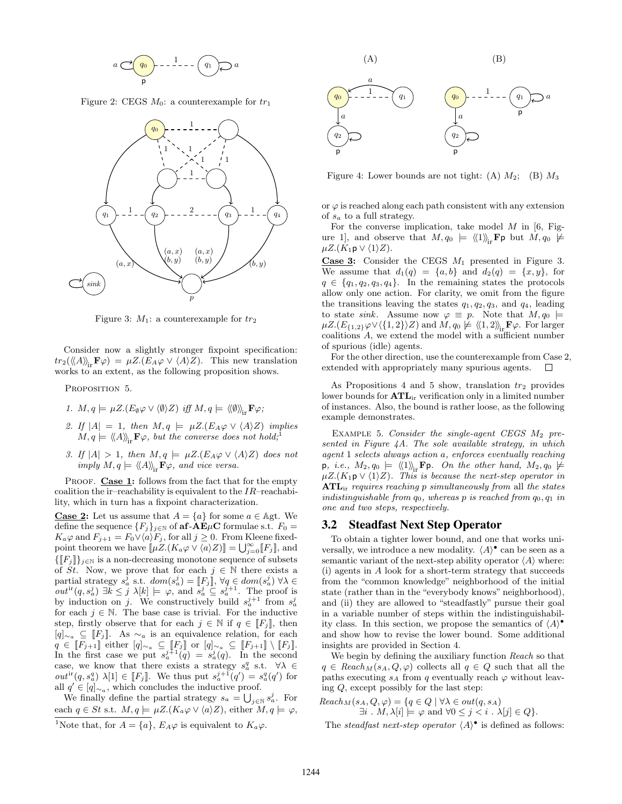

Figure 2: CEGS  $M_0$ : a counterexample for  $tr_1$ 



Figure 3:  $M_1$ : a counterexample for  $tr_2$ 

Consider now a slightly stronger fixpoint specification:  $tr_2(\langle\!\langle A \rangle\!\rangle_{\mathfrak{m}}\mathbf{F}\varphi) = \mu Z.(E_A\varphi \vee \langle A \rangle Z)$ . This new translation works to an extent, as the following proposition shows.

PROPOSITION 5.

1. 
$$
M, q \models \mu Z.(E_{\emptyset} \varphi \vee \langle \emptyset \rangle Z)
$$
 iff  $M, q \models \langle \langle \emptyset \rangle \rangle_{ir} \mathbf{F} \varphi$ ;

- 2. If  $|A| = 1$ , then  $M, q \models \mu Z.E_A \varphi \vee \langle A \rangle Z$  implies  $M, q \models \langle \langle A \rangle \rangle_{\text{in}} \mathbf{F} \varphi$ , but the converse does not hold;
- 3. If  $|A| > 1$ , then  $M, q \models \mu Z.(E_A \varphi \vee \langle A \rangle Z)$  does not imply  $M, q \models \langle \langle A \rangle \rangle_{ir} \mathbf{F} \varphi$ , and vice versa.

PROOF. Case 1: follows from the fact that for the empty coalition the ir–reachability is equivalent to the  $IR$ –reachability, which in turn has a fixpoint characterization.

**Case 2:** Let us assume that  $A = \{a\}$  for some  $a \in \mathbb{A}$ gt. We define the sequence  ${F_j}_{j \in \mathbb{N}}$  of  $\mathbf{af-AE}\mu\mathbf{C}$  formulae s.t.  $F_0 =$  $K_a\varphi$  and  $F_{j+1} = F_0 \vee \langle a \rangle F_j$ , for all  $j \geq 0$ . From Kleene fixedpoint theorem we have  $[\![\mu Z.(K_a\varphi \vee \langle a \rangle Z)]\!] = \bigcup_{j=0}^{\infty} [F_j]\!]$ , and  ${[F_j]}_{j\in\mathbb{N}}$  is a non-decreasing monotone sequence of subsets of St. Now, we prove that for each  $j \in \mathbb{N}$  there exists a partial strategy  $s_a^j$  s.t.  $dom(s_a^j) = [F_j], \forall q \in dom(s_a^j) \forall \lambda \in$  $out^{ir}(q, s_a^j) \exists k \leq j \lambda[k] \models \varphi$ , and  $s_a^j \subseteq s_a^{j+1}$ . The proof is by induction on j. We constructively build  $s_a^{j+1}$  from  $s_a^j$ for each  $j \in \mathbb{N}$ . The base case is trivial. For the inductive step, firstly observe that for each  $j \in \mathbb{N}$  if  $q \in [F_j]$ , then [q] $\sim_a$  ⊆ [F<sub>j</sub>]. As  $\sim_a$  is an equivalence relation, for each  $q \in [F_{j+1}]$  either  $[q]_{\sim a} \subseteq [F_j]$  or  $[q]_{\sim a} \subseteq [F_{j+1}] \setminus [F_j]$ . In the first case we put  $s_a^{j+1}(q) = s_a^j(q)$ . In the second case, we know that there exists a strategy  $s_a^q$  s.t.  $\forall \lambda \in$  $out^{ir}(q, s_a^q) \lambda[1] \in [F_j]$ . We thus put  $s_a^{j+1}(q') = s_a^q(q')$  for all  $q' \in [q]_{\sim_a}$ , which concludes the inductive proof.

We finally define the partial strategy  $s_a = \bigcup_{j \in \mathbb{N}} s_a^j$ . For each  $q \in St$  s.t.  $M, q \models \mu Z.(K_a \varphi \vee \langle a \rangle Z)$ , either  $M, q \models \varphi$ , <sup>1</sup>Note that, for  $A = \{a\}$ ,  $E_A \varphi$  is equivalent to  $K_a \varphi$ .



Figure 4: Lower bounds are not tight: (A)  $M_2$ ; (B)  $M_3$ 

or  $\varphi$  is reached along each path consistent with any extension of  $s_a$  to a full strategy.

For the converse implication, take model  $M$  in [6, Figure 1, and observe that  $M, q_0 \models \langle \langle 1 \rangle \rangle_{ir}$ **Fp** but  $M, q_0 \not\models$  $\mu Z.(K_1\mathsf{p} \vee \langle 1 \rangle Z).$ 

**Case 3:** Consider the CEGS  $M_1$  presented in Figure 3. We assume that  $d_1(q) = \{a, b\}$  and  $d_2(q) = \{x, y\}$ , for  $q \in \{q_1, q_2, q_3, q_4\}.$  In the remaining states the protocols allow only one action. For clarity, we omit from the figure the transitions leaving the states  $q_1, q_2, q_3$ , and  $q_4$ , leading to state sink. Assume now  $\varphi \equiv p$ . Note that  $M, q_0 \models$  $\mu Z.(E_{\{1,2\}}\varphi \vee \langle \{1,2\} \rangle Z)$  and  $M, q_0 \not\models \langle \langle 1, 2 \rangle \rangle_{ir}$ **F** $\varphi$ . For larger coalitions A, we extend the model with a sufficient number of spurious (idle) agents.

For the other direction, use the counterexample from Case 2, extended with appropriately many spurious agents.  $\Box$ 

As Propositions 4 and 5 show, translation  $tr_2$  provides lower bounds for  $\text{ATE}_{ir}$  verification only in a limited number of instances. Also, the bound is rather loose, as the following example demonstrates.

EXAMPLE 5. Consider the single-agent CEGS  $M_2$  presented in Figure 4A. The sole available strategy, in which agent 1 selects always action a, enforces eventually reaching p, *i.e.*,  $M_2, q_0 \models \langle \langle 1 \rangle \rangle$ <sub>ir</sub> **F**p. On the other hand,  $M_2, q_0 \not\models \mu Z.(K_1 \mathsf{p} \vee \langle 1 \rangle Z)$ . This is because the next-step operator in  $\text{ATL}_{\text{ir}}$  requires reaching p simultaneously from all the states indistinguishable from  $q_0$ , whereas p is reached from  $q_0$ ,  $q_1$  in one and two steps, respectively.

## 3.2 Steadfast Next Step Operator

To obtain a tighter lower bound, and one that works universally, we introduce a new modality.  $\langle A \rangle^{\bullet}$  can be seen as a semantic variant of the next-step ability operator  $\langle A \rangle$  where: (i) agents in A look for a short-term strategy that succeeds from the "common knowledge" neighborhood of the initial state (rather than in the "everybody knows" neighborhood), and (ii) they are allowed to "steadfastly" pursue their goal in a variable number of steps within the indistinguishability class. In this section, we propose the semantics of  $\langle A \rangle^{\bullet}$ and show how to revise the lower bound. Some additional insights are provided in Section 4.

We begin by defining the auxiliary function Reach so that  $q \in \text{Reach}_M(s_A, Q, \varphi)$  collects all  $q \in Q$  such that all the paths executing  $s_A$  from q eventually reach  $\varphi$  without leaving Q, except possibly for the last step:

$$
Reach_M(s_A, Q, \varphi) = \{ q \in Q \mid \forall \lambda \in out(q, s_A) \exists i \dots M, \lambda[i] \models \varphi \text{ and } \forall 0 \le j < i \dots \lambda[j] \in Q \}.
$$

The steadfast next-step operator  $\langle A \rangle^{\bullet}$  is defined as follows: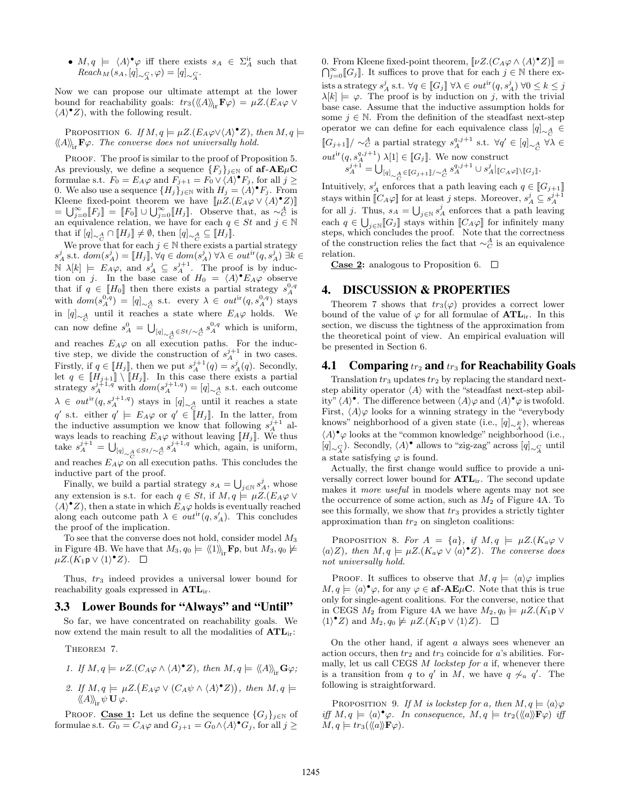•  $M, q \models \langle A \rangle^{\bullet} \varphi$  iff there exists  $s_A \in \Sigma_A^{\text{ir}}$  such that  $Reach_M(s_A, [q]_{\sim \mathcal{L}_{\mathcal{A}}}, \varphi) = [q]_{\sim \mathcal{L}_{\mathcal{A}}}.$ 

Now we can propose our ultimate attempt at the lower bound for reachability goals:  $tr_3(\langle\!\langle A \rangle\!\rangle_{ir} \mathbf{F}\varphi) = \mu Z.(E_A \varphi \vee$  $\langle A \rangle^{\bullet} Z$ , with the following result.

PROPOSITION 6. If  $M, q \models \mu Z . (E_A \varphi \vee \langle A \rangle^{\bullet} Z)$ , then  $M, q \models$  $\langle A \rangle_{\!\!in}$ **F** $\varphi$ . The converse does not universally hold.

PROOF. The proof is similar to the proof of Proposition 5. As previously, we define a sequence  ${F_j}_{j \in \mathbb{N}}$  of  $\mathbf{af-AE}\mu\mathbf{C}$ formulae s.t.  $F_0 = E_A \varphi$  and  $F_{j+1} = F_0 \vee (A)^{\bullet} F_j$ , for all  $j \geq$ 0. We also use a sequence  ${H_j}_{j \in \mathbb{N}}$  with  $H_j = \langle A \rangle^{\bullet} F_j$ . From Kleene fixed-point theorem we have  $[\![\mu Z.(E_A \varphi \vee \langle A \rangle^{\bullet} Z)]\!]$  $=\bigcup_{j=0}^{\infty} [F_j] \stackrel{\sim}{=} [F_0] \cup \bigcup_{j=0}^{\infty} [H_j]$ . Observe that, as  $\sim_C^A$  is an equivalence relation, we have for each  $q \in St$  and  $j \in \mathbb{N}$ that if  $[q]_{\sim_c^A} \cap [H_j] \neq \emptyset$ , then  $[q]_{\sim_c^A} \subseteq [H_j]$ .

We prove that for each  $j \in \mathbb{N}$  there exists a partial strategy  $s_A^j$  s.t.  $dom(s_A^j) = [\![H_j]\!], \forall q \in dom(s_A^j)$   $\forall \lambda \in out^{ir}(q, s_A^j)$   $\exists k \in$  $\mathbb{N} \lambda[k] \models E_A \varphi$ , and  $s_A^j \subseteq s_A^{j+1}$ . The proof is by induction on j. In the base case of  $H_0 = \langle A \rangle^{\bullet} E_A \varphi$  observe that if  $q \in [H_0]$  then there exists a partial strategy  $s_A^{0,q}$ with  $dom(s_A^{0,q}) = [q]_{\sim_A^A}$  s.t. every  $\lambda \in out^{ir}(q, s_A^{0,q})$  stays in  $[q]_{\sim_Q^A}$  until it reaches a state where  $E_A\varphi$  holds. We can now define  $s_A^0 = \bigcup_{[q]_{\sim A} \in St/\sim_C^A} s_A^{0,q}$  which is uniform, and reaches  $E_A\varphi$  on all execution paths. For the inductive step, we divide the construction of  $s_A^{j+1}$  in two cases. Firstly, if  $q \in [[H_j]]$ , then we put  $s_A^{j+1}(q) = s_A^j(q)$ . Secondly, let  $q \in [H_{j+1}] \setminus [H_j]$ . In this case there exists a partial strategy  $s_A^{j+1,q}$  with  $dom(s_A^{j+1,q}) = [q]_{\sim_c^A}$  s.t. each outcome  $\lambda$  ∈  $out$ <sup>ir</sup> $(q, s_A^{j+1,q})$  stays in  $[q]_{\sim_Q^A}$  until it reaches a state q' s.t. either  $q' \models E_A \varphi$  or  $q' \in \overline{H_j}$ . In the latter, from the inductive assumption we know that following  $s_A^{j+1}$  always leads to reaching  $E_A\varphi$  without leaving  $[[H_j]]$ . We thus take  $s_A^{j+1} = \bigcup_{[q]_{\sim_C^A} \in St/\sim_C^A} s_A^{j+1,q}$  which, again, is uniform, and reaches  $E_A\varphi$  on all execution paths. This concludes the inductive part of the proof.

Finally, we build a partial strategy  $s_A = \bigcup_{j \in \mathbb{N}} s_A^j$ , whose any extension is s.t. for each  $q \in St$ , if  $M, q \models \mu Z. (E_A \varphi \vee$  $\langle A \rangle^{\bullet} Z$ , then a state in which  $E_A \varphi$  holds is eventually reached along each outcome path  $\lambda \in out^{ir}(q, s'_A)$ . This concludes the proof of the implication.

To see that the converse does not hold, consider model M<sup>3</sup> in Figure 4B. We have that  $M_3$ ,  $q_0 \models \langle \langle 1 \rangle \rangle$ <sub>ir</sub>Fp, but  $M_3$ ,  $q_0 \not\models$  $\mu Z.(K_1 \mathsf{p} \vee \langle 1 \rangle^{\bullet} Z).$ 

Thus,  $tr_3$  indeed provides a universal lower bound for reachability goals expressed in  $\text{ATL}_{ir}$ .

#### 3.3 Lower Bounds for "Always" and "Until"

So far, we have concentrated on reachability goals. We now extend the main result to all the modalities of  $\text{ATL}_{\text{ir}}$ :

THEOREM 7.

1. If 
$$
M, q \models \nu Z. (C_A \varphi \wedge \langle A \rangle^{\bullet} Z)
$$
, then  $M, q \models \langle \langle A \rangle \rangle_{\text{ir}} \mathbf{G} \varphi$ ;

2. If  $M, q \models \mu Z . (E_A \varphi \vee (C_A \psi \wedge \langle A \rangle^{\bullet} Z))$ , then  $M, q \models$  $\langle\!\langle A \rangle\!\rangle_{\mathbf{r}} \psi \mathbf{U} \varphi.$ 

PROOF. Case 1: Let us define the sequence  ${G_j}_{j \in \mathbb{N}}$  of formulae s.t.  $G_0 = C_A \varphi$  and  $G_{j+1} = G_0 \wedge \langle A \rangle^{\bullet} G_j$ , for all  $j \geq$ 

0. From Kleene fixed-point theorem,  $[\![\nu Z.(C_A\varphi \wedge \langle A \rangle^{\bullet} Z)]\!] =$  $\bigcap_{j=0}^{\infty} [G_j]$ . It suffices to prove that for each  $j \in \mathbb{N}$  there exists a strategy  $s_A^j$  s.t.  $\forall q \in \llbracket G_j \rrbracket \ \forall \lambda \in \mathit{out}^{\text{ir}}(q,s_A^j) \ \forall 0 \leq k \leq j$  $\lambda[k] \models \varphi$ . The proof is by induction on j, with the trivial base case. Assume that the inductive assumption holds for some  $j \in \mathbb{N}$ . From the definition of the steadfast next-step operator we can define for each equivalence class  $[q]_{\sim A} \in$  $\llbracket G_{j+1} \rrbracket / \sim_C^A$  a partial strategy  $s_A^{q,j+1}$  s.t.  $\forall q' \in [q]_{\sim_A^A}$   $\forall \lambda \in$  $\mathcal{O}(\textit{out}^{\text{ir}}(q, s_A^{q,j+1}) \lambda[1] \in [G_j]$ . We now construct  $s_A^{j+1} = \bigcup_{[q]_{\sim_C^A} \in [\![G_{j+1}]\!] / \sim_C^A} s_A^{q, j+1} \cup s_A^j|_{[\![C_A\varphi]\!] \backslash [\![G_j]\!]}.$ 

Intuitively,  $s_A^j$  enforces that a path leaving each  $q \in \llbracket G_{j+1} \rrbracket$ stays within  $[\![ C_A \varphi ]\!]$  for at least  $j$  steps. Moreover,  $s_A^j \subseteq s_A^{j+1}$ for all j. Thus,  $s_A = \bigcup_{j \in \mathbb{N}} s_A^j$  enforces that a path leaving each  $q \in \bigcup_{j\in\mathbb{N}} [G_j]$  stays within  $[[C_A\varphi]]$  for infinitely many steps, which concludes the proof. Note that the correctness of the construction relies the fact that  $\sim_C^A$  is an equivalence relation.

**Case 2:** analogous to Proposition 6.  $\Box$ 

## 4. DISCUSSION & PROPERTIES

Theorem 7 shows that  $tr_3(\varphi)$  provides a correct lower bound of the value of  $\varphi$  for all formulae of  $\mathbf{ATL}_{ir}$ . In this section, we discuss the tightness of the approximation from the theoretical point of view. An empirical evaluation will be presented in Section 6.

#### 4.1 Comparing  $tr_2$  and  $tr_3$  for Reachability Goals

Translation  $tr_3$  updates  $tr_2$  by replacing the standard nextstep ability operator  $\langle A \rangle$  with the "steadfast next-step ability"  $\langle A \rangle^{\bullet}$ . The difference between  $\langle A \rangle \varphi$  and  $\langle A \rangle^{\bullet} \varphi$  is twofold. First,  $\langle A \rangle \varphi$  looks for a winning strategy in the "everybody" knows" neighborhood of a given state (i.e.,  $[q]_{\sim_A^E}$ ), whereas  $\langle A \rangle^{\bullet} \varphi$  looks at the "common knowledge" neighborhood (i.e.,  $[q]_{\sim \mathcal{L}}$ . Secondly,  $\langle A \rangle^{\bullet}$  allows to "zig-zag" across  $[q]_{\sim \mathcal{L}}$  until a state satisfying  $\varphi$  is found.

Actually, the first change would suffice to provide a universally correct lower bound for  $ATL<sub>ir</sub>$ . The second update makes it more useful in models where agents may not see the occurrence of some action, such as  $M_2$  of Figure 4A. To see this formally, we show that  $tr_3$  provides a strictly tighter approximation than  $tr_2$  on singleton coalitions:

PROPOSITION 8. For  $A = \{a\}$ , if  $M, q \models \mu Z.(K_a \varphi \vee$  $\langle a \rangle Z$ ), then  $M, q \models \mu Z. (K_a \varphi \vee \langle a \rangle^{\bullet} Z)$ . The converse does not universally hold.

PROOF. It suffices to observe that  $M, q \models \langle a \rangle \varphi$  implies  $M, q \models \langle a \rangle^{\bullet} \varphi$ , for any  $\varphi \in \mathbf{af-AE}\mu\mathbf{C}$ . Note that this is true only for single-agent coalitions. For the converse, notice that in CEGS  $M_2$  from Figure 4A we have  $M_2, q_0 \models \mu Z.(K_1 \mathsf{p} \vee$  $\langle 1 \rangle^{\bullet} Z$  and  $M_2, q_0 \not\models \mu Z. (K_1 \mathsf{p} \vee \langle 1 \rangle Z).$ 

On the other hand, if agent  $a$  always sees whenever an action occurs, then  $tr_2$  and  $tr_3$  coincide for a's abilities. Formally, let us call CEGS  $M$  lockstep for  $a$  if, whenever there is a transition from q to q' in M, we have  $q \nsim a'$ . The following is straightforward.

PROPOSITION 9. If M is lockstep for a, then  $M, q \models \langle a \rangle \varphi$ iff  $M, q \models \langle a \rangle^{\bullet} \varphi$ . In consequence,  $M, q \models tr_2(\langle \langle a \rangle \rangle \mathbf{F} \varphi)$  iff  $M, q \models tr_3(\langle\!\langle a \rangle\!\rangle \mathbf{F}\varphi).$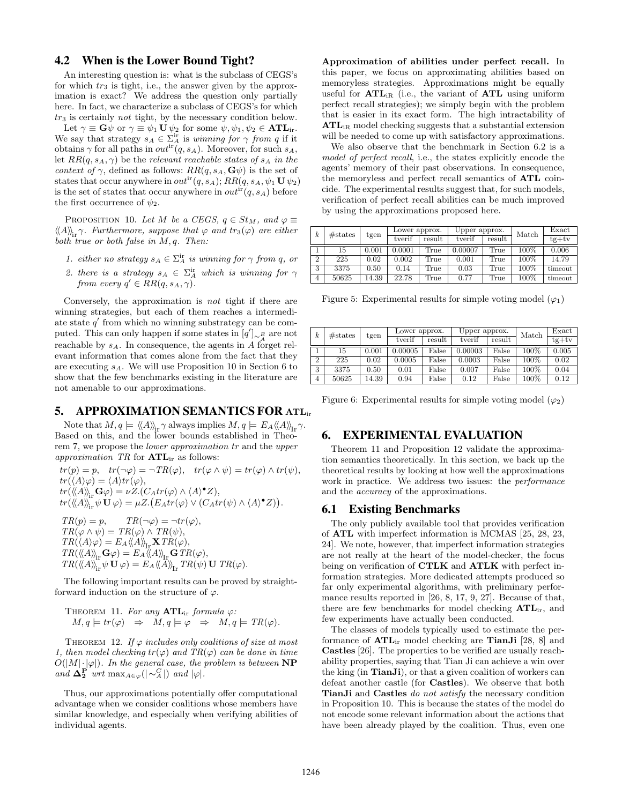# 4.2 When is the Lower Bound Tight?

An interesting question is: what is the subclass of CEGS's for which  $tr_3$  is tight, i.e., the answer given by the approximation is exact? We address the question only partially here. In fact, we characterize a subclass of CEGS's for which  $tr<sub>3</sub>$  is certainly not tight, by the necessary condition below.

Let  $\gamma \equiv \mathbf{G}\psi$  or  $\gamma \equiv \psi_1 \mathbf{U} \psi_2$  for some  $\psi, \psi_1, \psi_2 \in \mathbf{ATL}_{ir}$ . We say that strategy  $s_A \in \sum_A^{\text{ir}}$  is winning for  $\gamma$  from q if it obtains  $\gamma$  for all paths in  $out^{ir}(q, s_A)$ . Moreover, for such  $s_A$ , let  $RR(q, s_A, \gamma)$  be the relevant reachable states of  $s_A$  in the *context of*  $\gamma$ , defined as follows:  $RR(q, s_A, \mathbf{G}\psi)$  is the set of states that occur anywhere in  $out^{ir}(q, s_A); RR(q, s_A, \psi_1 \mathbf{U} \psi_2)$ is the set of states that occur anywhere in  $out^{ir}(q, s_A)$  before the first occurrence of  $\psi_2$ .

PROPOSITION 10. Let M be a CEGS,  $q \in St_M$ , and  $\varphi \equiv$  $\langle\!\langle A \rangle\!\rangle_{ir}$ ?. Furthermore, suppose that  $\varphi$  and  $tr_3(\varphi)$  are either both true or both false in  $M$ ,  $q$ . Then:

- 1. either no strategy  $s_A \in \Sigma_A^{\text{ir}}$  is winning for  $\gamma$  from q, or
- 2. there is a strategy  $s_A \in \Sigma_A^{\text{ir}}$  which is winning for  $\gamma$ from every  $q' \in RR(q, s_A, \gamma)$ .

Conversely, the approximation is not tight if there are winning strategies, but each of them reaches a intermediate state  $q'$  from which no winning substrategy can be computed. This can only happen if some states in  $[q']_{\sim \frac{E}{4}}$  are not reachable by  $s_A$ . In consequence, the agents in A forget relevant information that comes alone from the fact that they are executing  $s_A$ . We will use Proposition 10 in Section 6 to show that the few benchmarks existing in the literature are not amenable to our approximations.

#### 5. APPROXIMATION SEMANTICS FOR  $ATL_{ir}$

Note that  $M, q \models \langle \langle A \rangle \rangle_{\text{ir}} \gamma$  always implies  $M, q \models E_A \langle \langle A \rangle \rangle_{\text{ir}} \gamma$ . Based on this, and the lower bounds established in Theorem 7, we propose the lower approximation tr and the upper approximation  $TR$  for  $\mathbf{ATL}_{ir}$  as follows:

 $tr(p) = p$ ,  $tr(\neg \varphi) = \neg TR(\varphi)$ ,  $tr(\varphi \wedge \psi) = tr(\varphi) \wedge tr(\psi)$ ,  $tr(\langle A \rangle \varphi) = \langle A \rangle tr(\varphi),$  $tr(\langle\!\langle A \rangle\!\rangle_{\rm ir} \mathbf{G} \varphi) = \nu Z. (C_A tr(\varphi) \wedge \langle A \rangle^{\bullet} Z),$  $tr(\langle\!\langle A \rangle\rangle_{\text{ir}}^* \psi \mathbf{U} \varphi) = \mu Z.(E_A tr(\varphi) \vee (Catr(\psi) \wedge \langle A \rangle^{\bullet} Z)).$ 

 $TR(p) = p, \qquad TR(\neg \varphi) = \neg tr(\varphi),$  $TR(\varphi \wedge \psi) = TR(\varphi) \wedge TR(\psi),$  $TR(\langle A \rangle \varphi) = E_A \langle \langle A \rangle \rangle_{\text{Tr}} \mathbf{X} TR(\varphi),$  $TR(\langle\!\langle A \rangle\!\rangle_{\mathrm{ir}}\mathbf{G}\varphi) = E_A \langle\!\langle A \rangle\!\rangle_{\mathrm{Ir}}\mathbf{G} TR(\varphi),$  $TR(\langle\!\langle A \rangle\rangle_{\text{ir}} \psi \mathbf{U} \varphi) = E_A \langle\!\langle A \rangle\rangle_{\text{ir}} TR(\psi) \mathbf{U} TR(\varphi).$ 

The following important results can be proved by straightforward induction on the structure of  $\varphi$ .

THEOREM 11. For any 
$$
\text{ATL}_{ir}
$$
 formula  $\varphi$ :  
\n $M, q \models tr(\varphi) \Rightarrow M, q \models \varphi \Rightarrow M, q \models TR(\varphi)$ .

THEOREM 12. If  $\varphi$  includes only coalitions of size at most 1, then model checking  $tr(\varphi)$  and  $TR(\varphi)$  can be done in time  $O(|M|\cdot|\varphi|)$ . In the general case, the problem is between NP and  $\Delta_2^P$  wrt max<sub>A∈ $\varphi$ </sub>(|∼ $_A^C$ |) and  $|\varphi|$ .

Thus, our approximations potentially offer computational advantage when we consider coalitions whose members have similar knowledge, and especially when verifying abilities of individual agents.

Approximation of abilities under perfect recall. In this paper, we focus on approximating abilities based on memoryless strategies. Approximations might be equally useful for  $\text{ATL}_{iR}$  (i.e., the variant of  $\text{ATL}$  using uniform perfect recall strategies); we simply begin with the problem that is easier in its exact form. The high intractability of ATLiR model checking suggests that a substantial extension will be needed to come up with satisfactory approximations.

We also observe that the benchmark in Section 6.2 is a model of perfect recall, i.e., the states explicitly encode the agents' memory of their past observations. In consequence, the memoryless and perfect recall semantics of ATL coincide. The experimental results suggest that, for such models, verification of perfect recall abilities can be much improved by using the approximations proposed here.

| $\boldsymbol{k}$ | # states | tgen  | Lower approx. |        | Upper approx. |        | Match   | Exact   |
|------------------|----------|-------|---------------|--------|---------------|--------|---------|---------|
|                  |          |       | tverif        | result | tverif        | result |         | $tg+tv$ |
|                  | 15       | 0.001 | 0.0001        | True   | 0.00007       | True   | $100\%$ | 0.006   |
| $\overline{2}$   | 225      | 0.02  | 0.002         | True   | 0.001         | True   | 100%    | 14.79   |
| 3                | 3375     | 0.50  | 0.14          | True   | 0.03          | True   | $100\%$ | timeout |
| $\overline{4}$   | 50625    | 14.39 | 22.78         | True   | 0.77          | True   | $100\%$ | timeout |

Figure 5: Experimental results for simple voting model  $(\varphi_1)$ 

| $\boldsymbol{k}$ | # states | tgen  | Lower approx. |        | Upper approx. |        | Match | Exact   |
|------------------|----------|-------|---------------|--------|---------------|--------|-------|---------|
|                  |          |       | tverif        | result | tverif        | result |       | $te+tv$ |
|                  | 15       | 0.001 | 0.00005       | False  | 0.00003       | False  | 100%  | 0.005   |
| $\overline{2}$   | 225      | 0.02  | 0.0005        | False  | 0.0003        | False  | 100%  | 0.02    |
| 3                | 3375     | 0.50  | 0.01          | False  | 0.007         | False  | 100%  | 0.04    |
| 4                | 50625    | 14.39 | 0.94          | False  | 0.12          | False  | 100%  | 0.12    |

Figure 6: Experimental results for simple voting model  $(\varphi_2)$ 

## 6. EXPERIMENTAL EVALUATION

Theorem 11 and Proposition 12 validate the approximation semantics theoretically. In this section, we back up the theoretical results by looking at how well the approximations work in practice. We address two issues: the performance and the accuracy of the approximations.

#### 6.1 Existing Benchmarks

The only publicly available tool that provides verification of ATL with imperfect information is MCMAS [25, 28, 23, 24]. We note, however, that imperfect information strategies are not really at the heart of the model-checker, the focus being on verification of **CTLK** and **ATLK** with perfect information strategies. More dedicated attempts produced so far only experimental algorithms, with preliminary performance results reported in [26, 8, 17, 9, 27]. Because of that, there are few benchmarks for model checking  $\text{ATL}_{ir}$ , and few experiments have actually been conducted.

The classes of models typically used to estimate the performance of  $\text{ATL}_{ir}$  model checking are **TianJi** [28, 8] and Castles [26]. The properties to be verified are usually reachability properties, saying that Tian Ji can achieve a win over the king (in TianJi), or that a given coalition of workers can defeat another castle (for Castles). We observe that both TianJi and Castles do not satisfy the necessary condition in Proposition 10. This is because the states of the model do not encode some relevant information about the actions that have been already played by the coalition. Thus, even one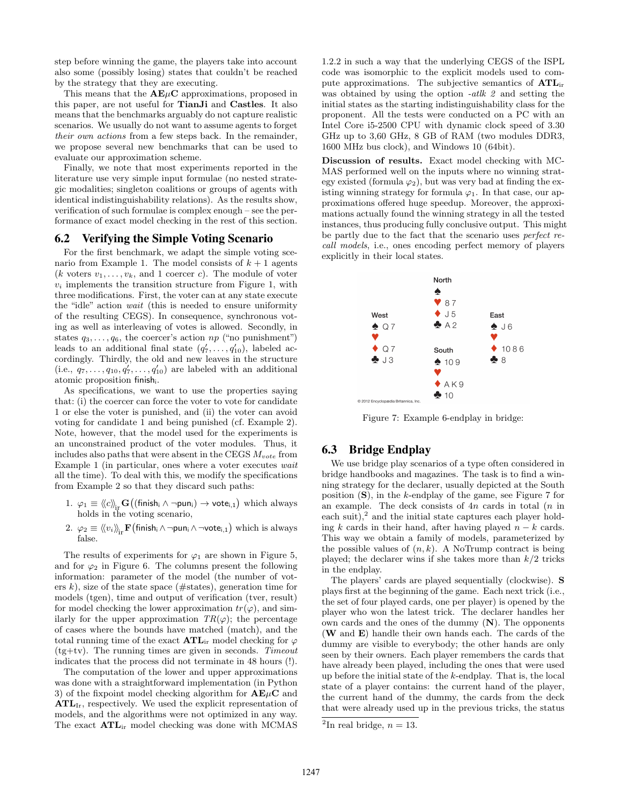step before winning the game, the players take into account also some (possibly losing) states that couldn't be reached by the strategy that they are executing.

This means that the  $A E \mu C$  approximations, proposed in this paper, are not useful for TianJi and Castles. It also means that the benchmarks arguably do not capture realistic scenarios. We usually do not want to assume agents to forget their own actions from a few steps back. In the remainder, we propose several new benchmarks that can be used to evaluate our approximation scheme.

Finally, we note that most experiments reported in the literature use very simple input formulae (no nested strategic modalities; singleton coalitions or groups of agents with identical indistinguishability relations). As the results show, verification of such formulae is complex enough – see the performance of exact model checking in the rest of this section.

#### 6.2 Verifying the Simple Voting Scenario

For the first benchmark, we adapt the simple voting scenario from Example 1. The model consists of  $k + 1$  agents (k voters  $v_1, \ldots, v_k$ , and 1 coercer c). The module of voter  $v_i$  implements the transition structure from Figure 1, with three modifications. First, the voter can at any state execute the "idle" action wait (this is needed to ensure uniformity of the resulting CEGS). In consequence, synchronous voting as well as interleaving of votes is allowed. Secondly, in states  $q_3, \ldots, q_6$ , the coercer's action  $np$  ("no punishment") leads to an additional final state  $(q'_7, \ldots, q'_{10})$ , labeled accordingly. Thirdly, the old and new leaves in the structure  $(i.e., q_7,..., q_{10}, q'_7,..., q'_{10})$  are labeled with an additional atomic proposition finishi.

As specifications, we want to use the properties saying that: (i) the coercer can force the voter to vote for candidate 1 or else the voter is punished, and (ii) the voter can avoid voting for candidate 1 and being punished (cf. Example 2). Note, however, that the model used for the experiments is an unconstrained product of the voter modules. Thus, it includes also paths that were absent in the CEGS  $M_{vote}$  from Example 1 (in particular, ones where a voter executes wait all the time). To deal with this, we modify the specifications from Example 2 so that they discard such paths:

- $1.$   $\varphi_1 \equiv \langle\!\langle c \rangle\!\rangle_{\mathrm{ir}}\mathbf{G}\big((\textsf{finish}_{\mathsf{i}} \wedge \neg \mathsf{pun}_{\mathsf{i}}) \rightarrow \mathsf{vote}_{\mathsf{i},1}\big)$  which always holds in the voting scenario,
- 2.  $\varphi_2 \equiv \langle\!\langle v_i \rangle\!\rangle_{\rm ir} {\bf F}\big(\mathsf{finish}_i \land \neg \mathsf{pun}_i \land \neg \mathsf{vote}_{i,1}\big)$  which is always false.

The results of experiments for  $\varphi_1$  are shown in Figure 5, and for  $\varphi_2$  in Figure 6. The columns present the following information: parameter of the model (the number of voters k), size of the state space ( $\#$ states), generation time for models (tgen), time and output of verification (tver, result) for model checking the lower approximation  $tr(\varphi)$ , and similarly for the upper approximation  $TR(\varphi)$ ; the percentage of cases where the bounds have matched (match), and the total running time of the exact  $\text{ATE}_{ir}$  model checking for  $\varphi$  $(tg+tv)$ . The running times are given in seconds. Timeout indicates that the process did not terminate in 48 hours (!).

The computation of the lower and upper approximations was done with a straightforward implementation (in Python 3) of the fixpoint model checking algorithm for  $A E \mu C$  and ATLIr, respectively. We used the explicit representation of models, and the algorithms were not optimized in any way. The exact ATLir model checking was done with MCMAS 1.2.2 in such a way that the underlying CEGS of the ISPL code was isomorphic to the explicit models used to compute approximations. The subjective semantics of ATLir was obtained by using the option -atlk 2 and setting the initial states as the starting indistinguishability class for the proponent. All the tests were conducted on a PC with an Intel Core i5-2500 CPU with dynamic clock speed of 3.30 GHz up to 3,60 GHz, 8 GB of RAM (two modules DDR3, 1600 MHz bus clock), and Windows 10 (64bit).

Discussion of results. Exact model checking with MC-MAS performed well on the inputs where no winning strategy existed (formula  $\varphi_2$ ), but was very bad at finding the existing winning strategy for formula  $\varphi_1$ . In that case, our approximations offered huge speedup. Moreover, the approximations actually found the winning strategy in all the tested instances, thus producing fully conclusive output. This might be partly due to the fact that the scenario uses perfect recall models, i.e., ones encoding perfect memory of players explicitly in their local states.



Figure 7: Example 6-endplay in bridge:

# 6.3 Bridge Endplay

We use bridge play scenarios of a type often considered in bridge handbooks and magazines. The task is to find a winning strategy for the declarer, usually depicted at the South position  $(S)$ , in the k-endplay of the game, see Figure 7 for an example. The deck consists of  $4n$  cards in total  $(n \text{ in }$ each suit), $^2$  and the initial state captures each player holding k cards in their hand, after having played  $n - k$  cards. This way we obtain a family of models, parameterized by the possible values of  $(n, k)$ . A NoTrump contract is being played; the declarer wins if she takes more than  $k/2$  tricks in the endplay.

The players' cards are played sequentially (clockwise). S plays first at the beginning of the game. Each next trick (i.e., the set of four played cards, one per player) is opened by the player who won the latest trick. The declarer handles her own cards and the ones of the dummy  $(N)$ . The opponents (W and E) handle their own hands each. The cards of the dummy are visible to everybody; the other hands are only seen by their owners. Each player remembers the cards that have already been played, including the ones that were used up before the initial state of the k-endplay. That is, the local state of a player contains: the current hand of the player, the current hand of the dummy, the cards from the deck that were already used up in the previous tricks, the status

<sup>&</sup>lt;sup>2</sup>In real bridge,  $n = 13$ .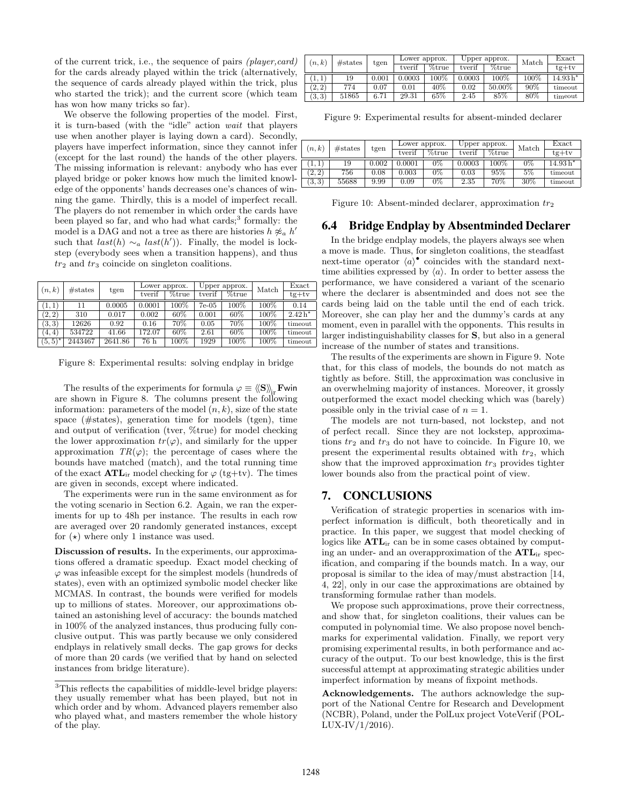of the current trick, i.e., the sequence of pairs (player,card) for the cards already played within the trick (alternatively, the sequence of cards already played within the trick, plus who started the trick); and the current score (which team has won how many tricks so far).

We observe the following properties of the model. First, it is turn-based (with the "idle" action wait that players use when another player is laying down a card). Secondly, players have imperfect information, since they cannot infer (except for the last round) the hands of the other players. The missing information is relevant: anybody who has ever played bridge or poker knows how much the limited knowledge of the opponents' hands decreases one's chances of winning the game. Thirdly, this is a model of imperfect recall. The players do not remember in which order the cards have been played so far, and who had what cards;<sup>3</sup> formally: the model is a DAG and not a tree as there are histories  $h \not\approx_a h'$ such that  $last(h) \sim_a last(h'))$ . Finally, the model is lockstep (everybody sees when a transition happens), and thus  $tr_2$  and  $tr_3$  coincide on singleton coalitions.

| (n,k)      | # states | tgen    | Lower approx. |         | Upper approx. |           | Match   | Exact     |
|------------|----------|---------|---------------|---------|---------------|-----------|---------|-----------|
|            |          |         | tverif        | %true   | tverif        | $\%$ true |         | $tg+tv$   |
| (1,1)      | 11       | 0.0005  | 0.0001        | $100\%$ | $7e-05$       | $100\%$   | $100\%$ | 0.14      |
| (2, 2)     | 310      | 0.017   | 0.002         | 60%     | 0.001         | 60%       | 100%    | $2.42 h*$ |
| (3,3)      | 12626    | 0.92    | 0.16          | 70%     | 0.05          | 70%       | 100%    | timeout   |
| (4, 4)     | 534722   | 41.66   | 172.07        | 60%     | 2.61          | 60%       | 100%    | timeout   |
| $(5, 5)^*$ | 2443467  | 2641.86 | 76 h          | 100%    | 1929          | 100%      | 100%    | timeout   |

Figure 8: Experimental results: solving endplay in bridge

The results of the experiments for formula  $\varphi \equiv \langle \langle S \rangle \rangle$ . Fwin are shown in Figure 8. The columns present the following information: parameters of the model  $(n, k)$ , size of the state space (#states), generation time for models (tgen), time and output of verification (tver, %true) for model checking the lower approximation  $tr(\varphi)$ , and similarly for the upper approximation  $TR(\varphi)$ ; the percentage of cases where the bounds have matched (match), and the total running time of the exact  $\text{ATL}_{ir}$  model checking for  $\varphi$  (tg+tv). The times are given in seconds, except where indicated.

The experiments were run in the same environment as for the voting scenario in Section 6.2. Again, we ran the experiments for up to 48h per instance. The results in each row are averaged over 20 randomly generated instances, except for  $(\star)$  where only 1 instance was used.

Discussion of results. In the experiments, our approximations offered a dramatic speedup. Exact model checking of  $\varphi$  was infeasible except for the simplest models (hundreds of states), even with an optimized symbolic model checker like MCMAS. In contrast, the bounds were verified for models up to millions of states. Moreover, our approximations obtained an astonishing level of accuracy: the bounds matched in 100% of the analyzed instances, thus producing fully conclusive output. This was partly because we only considered endplays in relatively small decks. The gap grows for decks of more than 20 cards (we verified that by hand on selected instances from bridge literature).

| (n,k)  | # states | tgen  | Lower approx. |       | Upper approx. |         | Match   | Exact      |
|--------|----------|-------|---------------|-------|---------------|---------|---------|------------|
|        |          |       | tverif        | %true | tverif        | %true   |         | $te+tv$    |
| (1, 1) | 19       | 0.001 | 0.0003        | 100%  | 0.0003        | $100\%$ | $100\%$ | $14.93 h*$ |
| (2, 2) | 774      | 0.07  | 0.01          | 40%   | 0.02          | 50.00%  | 90%     | timeout    |
| (3,3)  | 51865    | 6.71  | 29.31         | 65%   | 2.45          | 85%     | 80%     | timeout    |

Figure 9: Experimental results for absent-minded declarer

| (n,k)  | #states | tgen     | Lower approx. |       | Upper approx. |       | Match | Exact      |
|--------|---------|----------|---------------|-------|---------------|-------|-------|------------|
|        |         |          | tverif        | %true | tverif        | %true |       | $tg+tv$    |
|        | 19      | 0.002    | 0.0001        | $0\%$ | 0.0003        | 100\% | $0\%$ | $14.93 h*$ |
| (2, 2) | 756     | $0.08\,$ | 0.003         | $0\%$ | 0.03          | 95%   | 5%    | timeout    |
| (3,3)  | 55688   | 9.99     | 0.09          | $0\%$ | 2.35          | 70%   | 30%   | timeout    |

Figure 10: Absent-minded declarer, approximation  $tr_2$ 

# 6.4 Bridge Endplay by Absentminded Declarer

In the bridge endplay models, the players always see when a move is made. Thus, for singleton coalitions, the steadfast next-time operator  $\langle a \rangle^{\bullet}$  coincides with the standard nexttime abilities expressed by  $\langle a \rangle$ . In order to better assess the performance, we have considered a variant of the scenario where the declarer is absentminded and does not see the cards being laid on the table until the end of each trick. Moreover, she can play her and the dummy's cards at any moment, even in parallel with the opponents. This results in larger indistinguishability classes for S, but also in a general increase of the number of states and transitions.

The results of the experiments are shown in Figure 9. Note that, for this class of models, the bounds do not match as tightly as before. Still, the approximation was conclusive in an overwhelming majority of instances. Moreover, it grossly outperformed the exact model checking which was (barely) possible only in the trivial case of  $n = 1$ .

The models are not turn-based, not lockstep, and not of perfect recall. Since they are not lockstep, approximations  $tr_2$  and  $tr_3$  do not have to coincide. In Figure 10, we present the experimental results obtained with  $tr_2$ , which show that the improved approximation  $tr_3$  provides tighter lower bounds also from the practical point of view.

## 7. CONCLUSIONS

Verification of strategic properties in scenarios with imperfect information is difficult, both theoretically and in practice. In this paper, we suggest that model checking of logics like  $\text{ATL}_{ir}$  can be in some cases obtained by computing an under- and an overapproximation of the ATLir specification, and comparing if the bounds match. In a way, our proposal is similar to the idea of may/must abstraction [14, 4, 22], only in our case the approximations are obtained by transforming formulae rather than models.

We propose such approximations, prove their correctness, and show that, for singleton coalitions, their values can be computed in polynomial time. We also propose novel benchmarks for experimental validation. Finally, we report very promising experimental results, in both performance and accuracy of the output. To our best knowledge, this is the first successful attempt at approximating strategic abilities under imperfect information by means of fixpoint methods.

Acknowledgements. The authors acknowledge the support of the National Centre for Research and Development (NCBR), Poland, under the PolLux project VoteVerif (POL- $LUX-IV/1/2016$ ).

 $^3 \mathrm{This}$  reflects the capabilities of middle-level bridge players: they usually remember what has been played, but not in which order and by whom. Advanced players remember also who played what, and masters remember the whole history of the play.